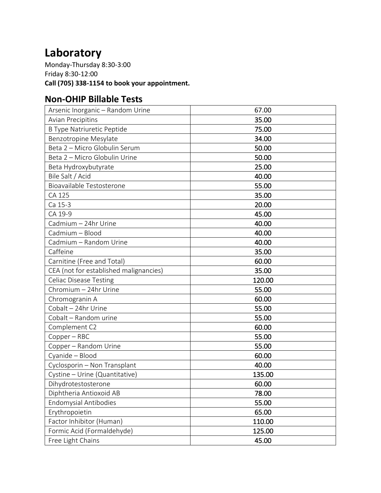## **Laboratory**

Monday-Thursday 8:30-3:00 Friday 8:30-12:00 **Call (705) 338-1154 to book your appointment.**

## **Non-OHIP Billable Tests**

| Arsenic Inorganic - Random Urine       | 67.00  |
|----------------------------------------|--------|
| <b>Avian Precipitins</b>               | 35.00  |
| <b>B Type Natriuretic Peptide</b>      | 75.00  |
| Benzotropine Mesylate                  | 34.00  |
| Beta 2 - Micro Globulin Serum          | 50.00  |
| Beta 2 - Micro Globulin Urine          | 50.00  |
| Beta Hydroxybutyrate                   | 25.00  |
| Bile Salt / Acid                       | 40.00  |
| Bioavailable Testosterone              | 55.00  |
| CA 125                                 | 35.00  |
| Ca 15-3                                | 20.00  |
| CA 19-9                                | 45.00  |
| Cadmium - 24hr Urine                   | 40.00  |
| Cadmium - Blood                        | 40.00  |
| Cadmium - Random Urine                 | 40.00  |
| Caffeine                               | 35.00  |
| Carnitine (Free and Total)             | 60.00  |
| CEA (not for established malignancies) | 35.00  |
| <b>Celiac Disease Testing</b>          | 120.00 |
| Chromium - 24hr Urine                  | 55.00  |
| Chromogranin A                         | 60.00  |
| Cobalt - 24hr Urine                    | 55.00  |
| Cobalt - Random urine                  | 55.00  |
| Complement C2                          | 60.00  |
| Copper - RBC                           | 55.00  |
| Copper - Random Urine                  | 55.00  |
| Cyanide - Blood                        | 60.00  |
| Cyclosporin - Non Transplant           | 40.00  |
| Cystine - Urine (Quantitative)         | 135.00 |
| Dihydrotestosterone                    | 60.00  |
| Diphtheria Antioxoid AB                | 78.00  |
| <b>Endomysial Antibodies</b>           | 55.00  |
| Erythropoietin                         | 65.00  |
| Factor Inhibitor (Human)               | 110.00 |
| Formic Acid (Formaldehyde)             | 125.00 |
| Free Light Chains                      | 45.00  |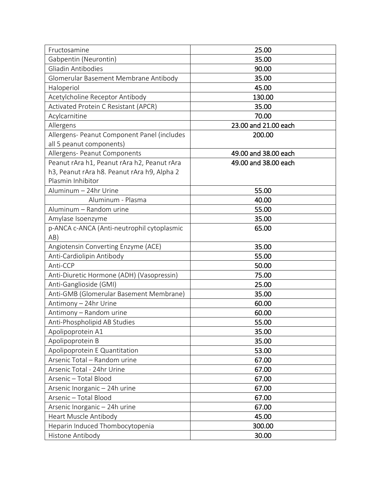| Fructosamine                                | 25.00                |
|---------------------------------------------|----------------------|
| Gabpentin (Neurontin)                       | 35.00                |
| Gliadin Antibodies                          | 90.00                |
| Glomerular Basement Membrane Antibody       | 35.00                |
| Haloperiol                                  | 45.00                |
| Acetylcholine Receptor Antibody             | 130.00               |
| Activated Protein C Resistant (APCR)        | 35.00                |
| Acylcarnitine                               | 70.00                |
| Allergens                                   | 23.00 and 21.00 each |
| Allergens- Peanut Component Panel (includes | 200.00               |
| all 5 peanut components)                    |                      |
| Allergens- Peanut Components                | 49.00 and 38.00 each |
| Peanut rAra h1, Peanut rAra h2, Peanut rAra | 49.00 and 38.00 each |
| h3, Peanut rAra h8. Peanut rAra h9, Alpha 2 |                      |
| Plasmin Inhibitor                           |                      |
| Aluminum - 24hr Urine                       | 55.00                |
| Aluminum - Plasma                           | 40.00                |
| Aluminum - Random urine                     | 55.00                |
| Amylase Isoenzyme                           | 35.00                |
| p-ANCA c-ANCA (Anti-neutrophil cytoplasmic  | 65.00                |
| AB)                                         |                      |
| Angiotensin Converting Enzyme (ACE)         | 35.00                |
| Anti-Cardiolipin Antibody                   | 55.00                |
| Anti-CCP                                    | 50.00                |
| Anti-Diuretic Hormone (ADH) (Vasopressin)   | 75.00                |
| Anti-Ganglioside (GMI)                      | 25.00                |
| Anti-GMB (Glomerular Basement Membrane)     | 35.00                |
| Antimony - 24hr Urine                       | 60.00                |
| Antimony - Random urine                     | 60.00                |
| Anti-Phospholipid AB Studies                | 55.00                |
| Apolipoprotein A1                           | 35.00                |
| Apolipoprotein B                            | 35.00                |
| Apolipoprotein E Quantitation               | 53.00                |
| Arsenic Total - Random urine                | 67.00                |
| Arsenic Total - 24hr Urine                  | 67.00                |
| Arsenic - Total Blood                       | 67.00                |
| Arsenic Inorganic - 24h urine               | 67.00                |
| Arsenic - Total Blood                       | 67.00                |
| Arsenic Inorganic - 24h urine               | 67.00                |
| Heart Muscle Antibody                       | 45.00                |
| Heparin Induced Thombocytopenia             | 300.00               |
| Histone Antibody                            | 30.00                |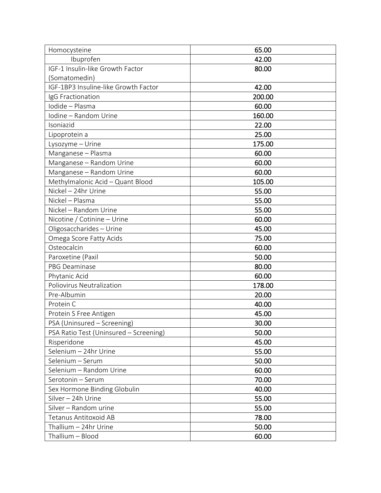| Homocysteine                           | 65.00  |
|----------------------------------------|--------|
| Ibuprofen                              | 42.00  |
| IGF-1 Insulin-like Growth Factor       | 80.00  |
| (Somatomedin)                          |        |
| IGF-1BP3 Insuline-like Growth Factor   | 42.00  |
| IgG Fractionation                      | 200.00 |
| Iodide - Plasma                        | 60.00  |
| Iodine - Random Urine                  | 160.00 |
| Isoniazid                              | 22.00  |
| Lipoprotein a                          | 25.00  |
| Lysozyme - Urine                       | 175.00 |
| Manganese - Plasma                     | 60.00  |
| Manganese - Random Urine               | 60.00  |
| Manganese - Random Urine               | 60.00  |
| Methylmalonic Acid - Quant Blood       | 105.00 |
| Nickel - 24hr Urine                    | 55.00  |
| Nickel - Plasma                        | 55.00  |
| Nickel - Random Urine                  | 55.00  |
| Nicotine / Cotinine - Urine            | 60.00  |
| Oligosaccharides - Urine               | 45.00  |
| Omega Score Fatty Acids                | 75.00  |
| Osteocalcin                            | 60.00  |
| Paroxetine (Paxil                      | 50.00  |
| <b>PBG Deaminase</b>                   | 80.00  |
| Phytanic Acid                          | 60.00  |
| Poliovirus Neutralization              | 178.00 |
| Pre-Albumin                            | 20.00  |
| Protein C                              | 40.00  |
| Protein S Free Antigen                 | 45.00  |
| PSA (Uninsured - Screening)            | 30.00  |
| PSA Ratio Test (Uninsured - Screening) | 50.00  |
| Risperidone                            | 45.00  |
| Selenium - 24hr Urine                  | 55.00  |
| Selenium - Serum                       | 50.00  |
| Selenium - Random Urine                | 60.00  |
| Serotonin - Serum                      | 70.00  |
| Sex Hormone Binding Globulin           | 40.00  |
| Silver - 24h Urine                     | 55.00  |
| Silver - Random urine                  | 55.00  |
| <b>Tetanus Antitoxoid AB</b>           | 78.00  |
| Thallium - 24hr Urine                  | 50.00  |
| Thallium - Blood                       | 60.00  |